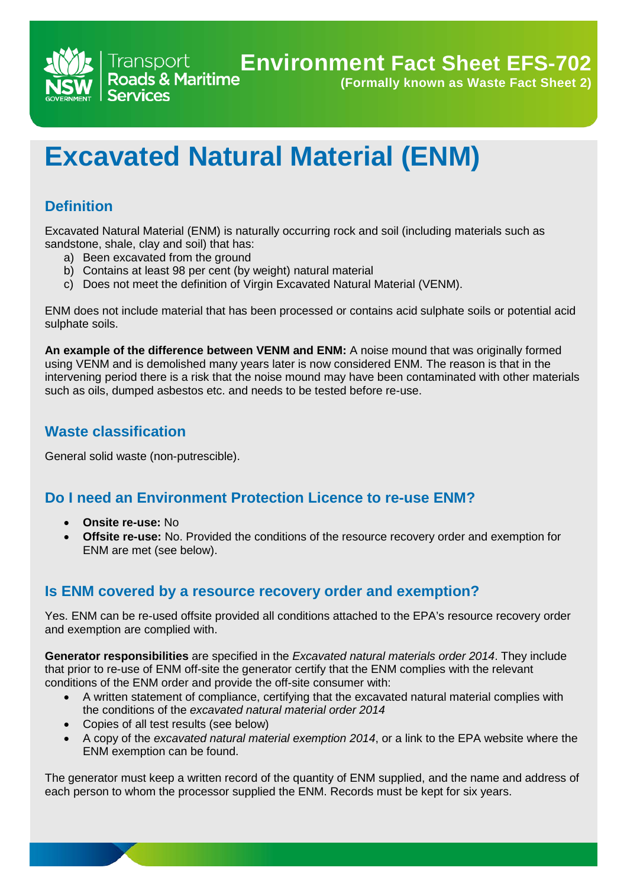**(Formally known as Waste Fact Sheet 2)**

# **Excavated Natural Material (ENM)**

# **Definition**

Excavated Natural Material (ENM) is naturally occurring rock and soil (including materials such as sandstone, shale, clay and soil) that has:

a) Been excavated from the ground

Transport later

Services

- b) Contains at least 98 per cent (by weight) natural material
- c) Does not meet the definition of Virgin Excavated Natural Material (VENM).

ENM does not include material that has been processed or contains acid sulphate soils or potential acid sulphate soils.

**An example of the difference between VENM and ENM:** A noise mound that was originally formed using VENM and is demolished many years later is now considered ENM. The reason is that in the intervening period there is a risk that the noise mound may have been contaminated with other materials such as oils, dumped asbestos etc. and needs to be tested before re-use.

# **Waste classification**

General solid waste (non-putrescible).

# **Do I need an Environment Protection Licence to re-use ENM?**

- **Onsite re-use:** No
- **Offsite re-use:** No. Provided the conditions of the resource recovery order and exemption for ENM are met (see below).

# **Is ENM covered by a resource recovery order and exemption?**

Yes. ENM can be re-used offsite provided all conditions attached to the EPA's resource recovery order and exemption are complied with.

**Generator responsibilities** are specified in the *Excavated natural materials order 2014*. They include that prior to re-use of ENM off-site the generator certify that the ENM complies with the relevant conditions of the ENM order and provide the off-site consumer with:

- A written statement of compliance, certifying that the excavated natural material complies with the conditions of the *excavated natural material order 2014*
- Copies of all test results (see below)
- A copy of the *excavated natural material exemption 2014*, or a link to the EPA website where the ENM exemption can be found.

The generator must keep a written record of the quantity of ENM supplied, and the name and address of each person to whom the processor supplied the ENM. Records must be kept for six years.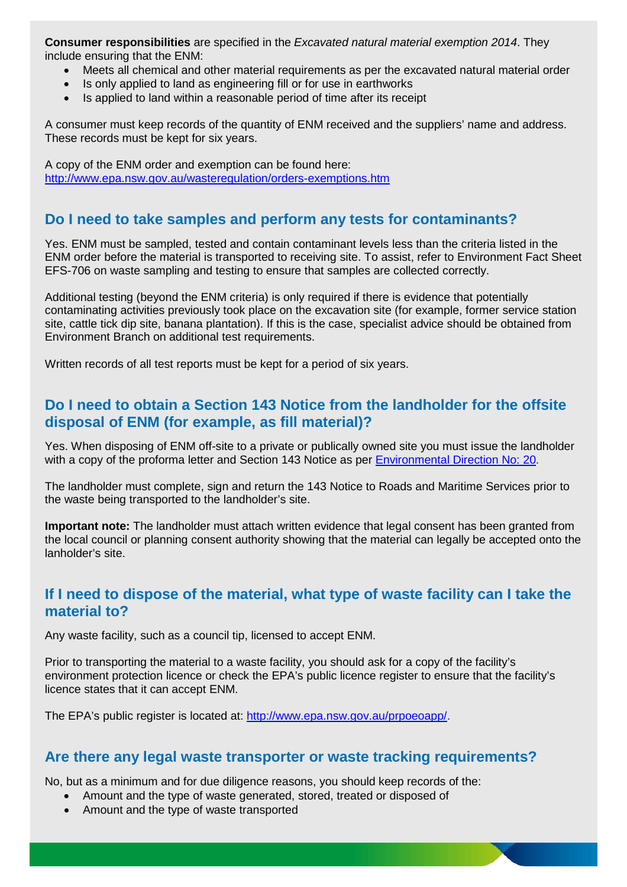**Consumer responsibilities** are specified in the *Excavated natural material exemption 2014*. They include ensuring that the ENM:

- Meets all chemical and other material requirements as per the excavated natural material order
- Is only applied to land as engineering fill or for use in earthworks
- Is applied to land within a reasonable period of time after its receipt

A consumer must keep records of the quantity of ENM received and the suppliers' name and address. These records must be kept for six years.

A copy of the ENM order and exemption can be found here: <http://www.epa.nsw.gov.au/wasteregulation/orders-exemptions.htm>

### **Do I need to take samples and perform any tests for contaminants?**

Yes. ENM must be sampled, tested and contain contaminant levels less than the criteria listed in the ENM order before the material is transported to receiving site. To assist, refer to Environment Fact Sheet EFS-706 on waste sampling and testing to ensure that samples are collected correctly.

Additional testing (beyond the ENM criteria) is only required if there is evidence that potentially contaminating activities previously took place on the excavation site (for example, former service station site, cattle tick dip site, banana plantation). If this is the case, specialist advice should be obtained from Environment Branch on additional test requirements.

Written records of all test reports must be kept for a period of six years.

## **Do I need to obtain a Section 143 Notice from the landholder for the offsite disposal of ENM (for example, as fill material)?**

Yes. When disposing of ENM off-site to a private or publically owned site you must issue the landholder with a copy of the proforma letter and Section 143 Notice as per **Environmental Direction No: 20.** 

The landholder must complete, sign and return the 143 Notice to Roads and Maritime Services prior to the waste being transported to the landholder's site.

**Important note:** The landholder must attach written evidence that legal consent has been granted from the local council or planning consent authority showing that the material can legally be accepted onto the lanholder's site.

### **If I need to dispose of the material, what type of waste facility can I take the material to?**

Any waste facility, such as a council tip, licensed to accept ENM.

Prior to transporting the material to a waste facility, you should ask for a copy of the facility's environment protection licence or check the EPA's public licence register to ensure that the facility's licence states that it can accept ENM.

The EPA's public register is located at: [http://www.epa.nsw.gov.au/prpoeoapp/.](http://www.epa.nsw.gov.au/prpoeoapp/)

#### **Are there any legal waste transporter or waste tracking requirements?**

No, but as a minimum and for due diligence reasons, you should keep records of the:

- Amount and the type of waste generated, stored, treated or disposed of
- Amount and the type of waste transported